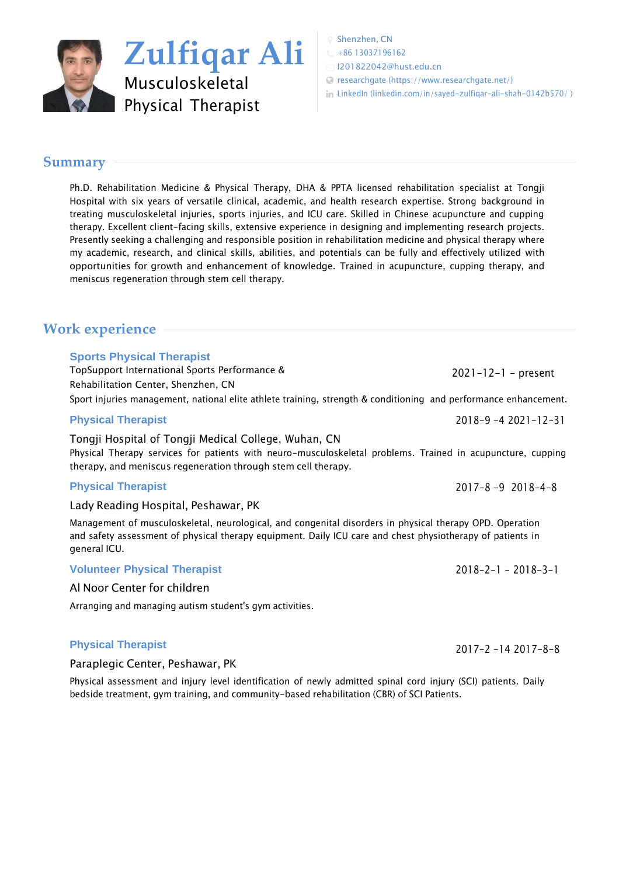

Shenzhen, CN

 $\leftarrow +8613037196162$ 

[I201822042@hust.edu.cn](mailto:I201822042@hust.edu.cn)

researchgate [\(https://www.researchgate.net/\)](https://www.visualcv.com/www.researchgate.net/))

in LinkedIn [\(linkedin.com/in/sayed-zulfiqar-ali-shah-0142b570/](http://www.linkedin.com/in/sayed-zulfiqar-ali-shah-0142b570/%20%20)))

## **Summary**

Ph.D. Rehabilitation Medicine & Physical Therapy, DHA & PPTA licensed rehabilitation specialist at Tongji Hospital with six years of versatile clinical, academic, and health research expertise. Strong background in treating musculoskeletal injuries, sports injuries, and ICU care. Skilled in Chinese acupuncture and cupping therapy. Excellent client-facing skills, extensive experience in designing and implementing research projects. Presently seeking a challenging and responsible position in rehabilitation medicine and physical therapy where my academic, research, and clinical skills, abilities, and potentials can be fully and effectively utilized with opportunities for growth and enhancement of knowledge. Trained in acupuncture, cupping therapy, and meniscus regeneration through stem cell therapy.

# **Work experience**

## **Sports Physical Therapist**

TopSupport International Sports Performance & Rehabilitation Center, Shenzhen, CN 2021-12-1 - present Sport injuries management, national elite athlete training, strength & conditioning and performance enhancement.

## **Physical Therapist**

## Tongji Hospital of Tongji Medical College, Wuhan, CN Physical Therapy services for patients with neuro-musculoskeletal problems. Trained in acupuncture, cupping therapy, and meniscus regeneration through stem cell therapy.

## **Physical Therapist**

Lady Reading Hospital, Peshawar, PK

Management of musculoskeletal, neurological, and congenital disorders in physical therapy OPD. Operation and safety assessment of physical therapy equipment. Daily ICU care and chest physiotherapy of patients in general ICU.

## **Volunteer Physical Therapist**

## Al Noor Center for children

Arranging and managing autism student's gym activities.

## **Physical Therapist**

Paraplegic Center, Peshawar, PK

Physical assessment and injury level identification of newly admitted spinal cord injury (SCI) patients. Daily bedside treatment, gym training, and community-based rehabilitation (CBR) of SCI Patients.

2018-9 -4 2021-12-31

2017-8 -9 2018-4-8

 $2018 - 2 - 1 - 2018 - 3 - 1$ 

2017-2 -14 2017-8-8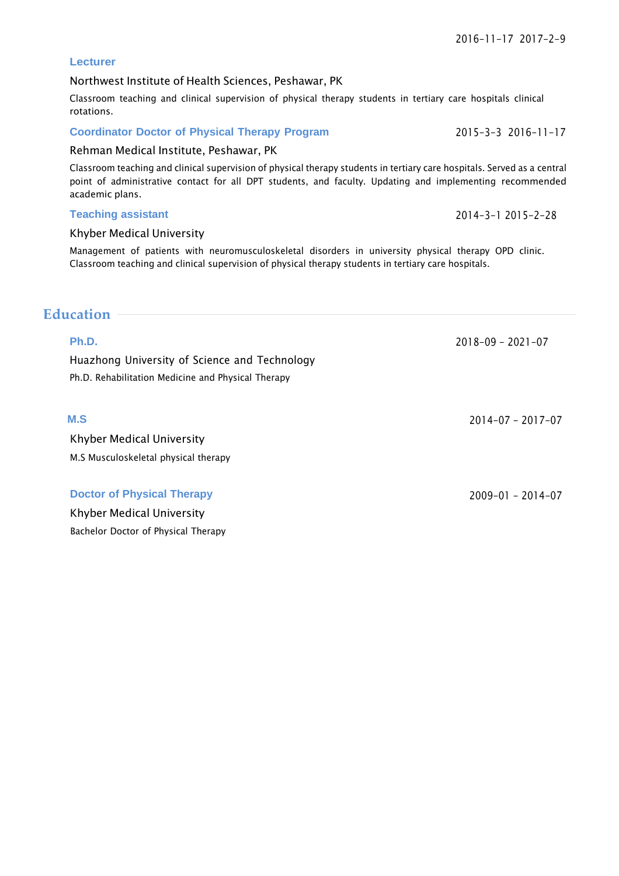## **Lecturer**

## Northwest Institute of Health Sciences, Peshawar, PK

Classroom teaching and clinical supervision of physical therapy students in tertiary care hospitals clinical rotations.

## **Coordinator Doctor of Physical Therapy Program**

## Rehman Medical Institute, Peshawar, PK

Classroom teaching and clinical supervision of physical therapy students in tertiary care hospitals. Served as a central point of administrative contact for all DPT students, and faculty. Updating and implementing recommended academic plans.

### **Teaching assistant**

## Khyber Medical University

Management of patients with neuromusculoskeletal disorders in university physical therapy OPD clinic. Classroom teaching and clinical supervision of physical therapy students in tertiary care hospitals.

## **Education**

## **Ph.D.**

Huazhong University of Science and Technology Ph.D. Rehabilitation Medicine and Physical Therapy

## **M.S**

Khyber Medical University M.S Musculoskeletal physical therapy

#### **Doctor of Physical Therapy**

Khyber Medical University Bachelor Doctor of Physical Therapy

2015-3-3 2016-11-17

2018-09 - 2021-07

2014-07 - 2017-07

2009-01 - 2014-07

## 2014-3-1 2015-2-28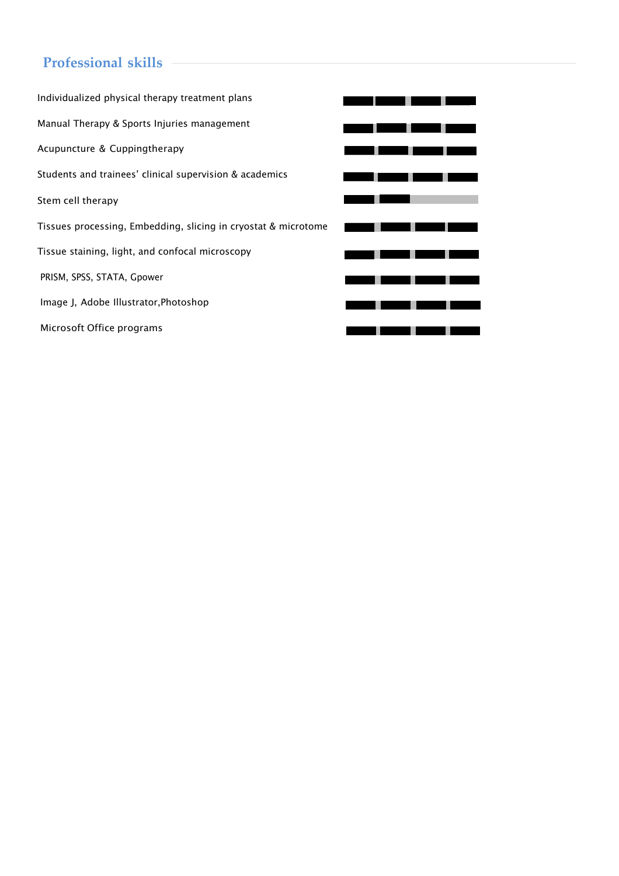# **Professional skills**

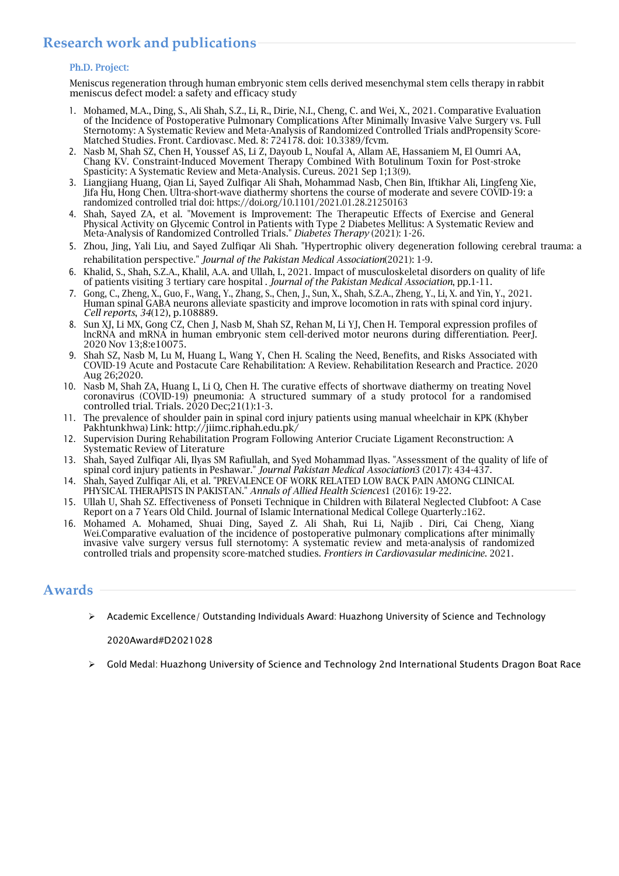# **Research work and publications**

#### Ph.D. Project:

Meniscus regeneration through human embryonic stem cells derived mesenchymal stem cells therapy in rabbit meniscus defect model: a safety and efficacy study

- 1. Mohamed, M.A., Ding, S., Ali Shah, S.Z., Li, R., Dirie, N.I., Cheng, C. and Wei, X., 2021. Comparative Evaluation of the Incidence of Postoperative Pulmonary Complications After Minimally Invasive Valve Surgery vs. Full Sternotomy: A Systematic Review and Meta-Analysis of Randomized Controlled Trials andPropensity Score-Matched Studies. Front. Cardiovasc. Med. 8: 724178. doi: 10.3389/fcvm.
- 2. Nasb M, Shah SZ, Chen H, Youssef AS, Li Z, Dayoub L, Noufal A, Allam AE, Hassaniem M, El Oumri AA, Chang KV. Constraint-Induced Movement Therapy Combined With Botulinum Toxin for Post-stroke Spasticity: A Systematic Review and Meta-Analysis. Cureus. 2021 Sep 1;13(9).
- 3. Liangjiang Huang, Qian Li, Sayed Zulfiqar Ali Shah, Mohammad Nasb, Chen Bin, Iftikhar Ali, Lingfeng Xie, Jifa Hu, Hong Chen. Ultra-short-wave diathermy shortens the course of moderate and severe COVID-19: a randomized controlled trial doi: <https://doi.org/10.1101/2021.01.28.21250163>
- 4. Shah, Sayed ZA, et al. "Movement is Improvement: The Therapeutic Effects of Exercise and General Physical Activity on Glycemic Control in Patients with Type 2 Diabetes Mellitus: A Systematic Review and Meta-Analysis of Randomized Controlled Trials." *Diabetes Therapy* (2021): 1-26.
- 5. Zhou, Jing, Yali Liu, and Sayed Zulfiqar Ali Shah. "Hypertrophic olivery degeneration following cerebral trauma: a rehabilitation perspective." *Journal of the Pakistan Medical Association*(2021): 1-9.
- 6. Khalid, S., Shah, S.Z.A., Khalil, A.A. and Ullah, I., 2021. Impact of musculoskeletal disorders on quality of life of patients visiting 3 tertiary care hospital . *Journal of the Pakistan Medical Association*, pp.1-11.
- 7. Gong, C., Zheng, X., Guo, F., Wang, Y., Zhang, S., Chen, J., Sun, X., Shah, S.Z.A., Zheng, Y., Li, X. and Yin, Y., 2021. Human spinal GABA neurons alleviate spasticity and improve locomotion in rats with spinal cord injury. *Cell reports*, *34*(12), p.108889.
- 8. Sun XJ, Li MX, Gong CZ, Chen J, Nasb M, Shah SZ, Rehan M, Li YJ, Chen H. Temporal expression profiles of lncRNA and mRNA in human embryonic stem cell-derived motor neurons during differentiation. PeerJ. 2020 Nov 13;8:e10075.
- 9. Shah SZ, Nasb M, Lu M, Huang L, Wang Y, Chen H. Scaling the Need, Benefits, and Risks Associated with COVID-19 Acute and Postacute Care Rehabilitation: A Review. Rehabilitation Research and Practice. 2020 Aug 26;2020.
- 10. Nasb M, Shah ZA, Huang L, Li Q, Chen H. The curative effects of shortwave diathermy on treating Novel coronavirus (COVID-19) pneumonia: A structured summary of a study protocol for a randomised controlled trial. Trials. 2020 Dec;21(1):1-3.
- 11. The prevalence of shoulder pain in spinal cord injury patients using manual wheelchair in KPK (Khyber Pakhtunkhwa) Link: <http://jiimc.riphah.edu.pk/>
- 12. Supervision During Rehabilitation Program Following Anterior Cruciate Ligament Reconstruction: A Systematic Review of Literature
- 13. Shah, Sayed Zulfiqar Ali, Ilyas SM Rafiullah, and Syed Mohammad Ilyas. "Assessment of the quality of life of spinal cord injury patients in Peshawar." *Journal Pakistan Medical Association*3 (2017): 434-437.
- 14. Shah, Sayed Zulfiqar Ali, et al. "PREVALENCE OF WORK RELATED LOW BACK PAIN AMONG CLINICAL PHYSICAL THERAPISTS IN PAKISTAN." *Annals of Allied Health Sciences*1 (2016): 19-22.
- 15. Ullah U, Shah SZ. Effectiveness of Ponseti Technique in Children with Bilateral Neglected Clubfoot: A Case Report on a 7 Years Old Child. Journal of Islamic International Medical College Quarterly.:162.
- 16. Mohamed A. Mohamed, Shuai Ding, Sayed Z. Ali Shah, Rui Li, Najib . Diri, Cai Cheng, Xiang Wei.Comparative evaluation of the incidence of postoperative pulmonary complications after minimally invasive valve surgery versus full sternotomy: A systematic review and meta-analysis of randomized controlled trials and propensity score-matched studies. *Frontiers in Cardiovasular medinicine*. 2021.

## **Awards**

➢ Academic Excellence/ Outstanding Individuals Award: Huazhong University of Science and Technology

2020Award#D2021028

➢ Gold Medal: Huazhong University of Science and Technology 2nd International Students Dragon Boat Race